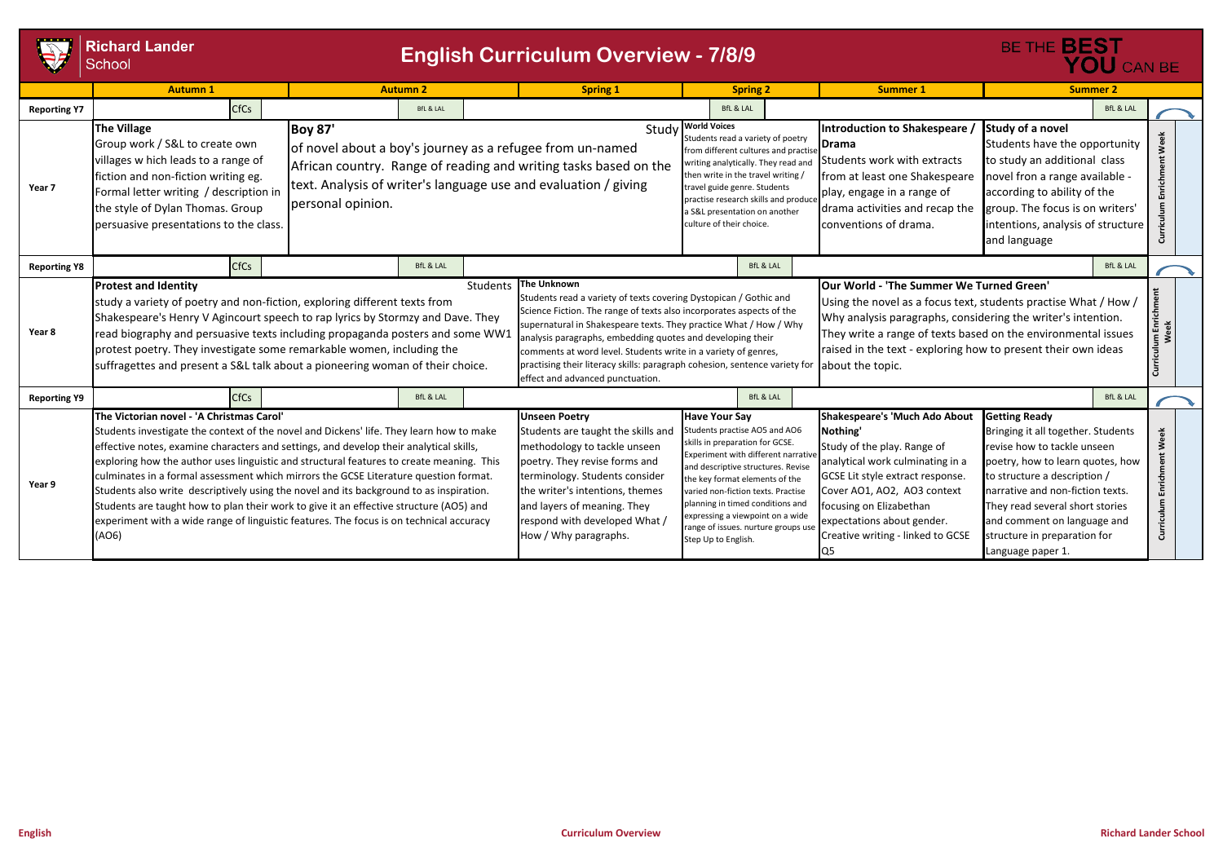|                     | <b>Richard Lander</b><br><b>English Curriculum Overview - 7/8/9</b><br>School                                                                                                                                                                                                                                                                                                                                                                                                                                                                                                                                                                                                                               |                                     |                      |  |                                                                                                                                                                                                                                                                                                                                                                                                                                                                                 |                                                                                                                                                                                                                                                                                                                                                                                    |                                                                                                                                                                                                                                |  |                                                                                                                                                                                                                                                                                                                                           |                                                                                                                                                                                                                                                                                                                          | BE THE <b>BEST</b><br>YOU CAN BE |                                 |  |
|---------------------|-------------------------------------------------------------------------------------------------------------------------------------------------------------------------------------------------------------------------------------------------------------------------------------------------------------------------------------------------------------------------------------------------------------------------------------------------------------------------------------------------------------------------------------------------------------------------------------------------------------------------------------------------------------------------------------------------------------|-------------------------------------|----------------------|--|---------------------------------------------------------------------------------------------------------------------------------------------------------------------------------------------------------------------------------------------------------------------------------------------------------------------------------------------------------------------------------------------------------------------------------------------------------------------------------|------------------------------------------------------------------------------------------------------------------------------------------------------------------------------------------------------------------------------------------------------------------------------------------------------------------------------------------------------------------------------------|--------------------------------------------------------------------------------------------------------------------------------------------------------------------------------------------------------------------------------|--|-------------------------------------------------------------------------------------------------------------------------------------------------------------------------------------------------------------------------------------------------------------------------------------------------------------------------------------------|--------------------------------------------------------------------------------------------------------------------------------------------------------------------------------------------------------------------------------------------------------------------------------------------------------------------------|----------------------------------|---------------------------------|--|
|                     | <b>Autumn 1</b>                                                                                                                                                                                                                                                                                                                                                                                                                                                                                                                                                                                                                                                                                             |                                     | <b>Autumn 2</b>      |  | <b>Spring 1</b>                                                                                                                                                                                                                                                                                                                                                                                                                                                                 | <b>Spring 2</b>                                                                                                                                                                                                                                                                                                                                                                    |                                                                                                                                                                                                                                |  | <b>Summer 1</b>                                                                                                                                                                                                                                                                                                                           | <b>Summer 2</b>                                                                                                                                                                                                                                                                                                          |                                  |                                 |  |
| <b>Reporting Y7</b> | CfCs                                                                                                                                                                                                                                                                                                                                                                                                                                                                                                                                                                                                                                                                                                        |                                     | <b>BfL &amp; LAL</b> |  |                                                                                                                                                                                                                                                                                                                                                                                                                                                                                 | <b>BfL &amp; LAL</b>                                                                                                                                                                                                                                                                                                                                                               |                                                                                                                                                                                                                                |  |                                                                                                                                                                                                                                                                                                                                           |                                                                                                                                                                                                                                                                                                                          | <b>BfL &amp; LAL</b>             |                                 |  |
| Year 7              | <b>The Village</b><br>Group work / S&L to create own<br>villages w hich leads to a range of<br>fiction and non-fiction writing eg.<br>Formal letter writing / description in<br>the style of Dylan Thomas. Group<br>persuasive presentations to the class.                                                                                                                                                                                                                                                                                                                                                                                                                                                  | <b>Boy 87'</b><br>personal opinion. |                      |  | of novel about a boy's journey as a refugee from un-named<br>African country. Range of reading and writing tasks based on the<br>text. Analysis of writer's language use and evaluation / giving                                                                                                                                                                                                                                                                                | Study World Voices<br>travel guide genre. Students<br>culture of their choice.                                                                                                                                                                                                                                                                                                     | Students read a variety of poetry<br>from different cultures and practis<br>writing analytically. They read and<br>then write in the travel writing /<br>practise research skills and produce<br>a S&L presentation on another |  | Introduction to Shakespeare<br>Drama<br>Students work with extracts<br>from at least one Shakespeare<br>play, engage in a range of<br>drama activities and recap the<br>conventions of drama.                                                                                                                                             | Study of a novel<br>Students have the opportunity<br>to study an additional class<br>novel fron a range available -<br>according to ability of the<br>group. The focus is on writers'<br>intentions, analysis of structure<br>and language                                                                               |                                  | Week<br>Enrichment<br>Curriculu |  |
| <b>Reporting Y8</b> | CfCs                                                                                                                                                                                                                                                                                                                                                                                                                                                                                                                                                                                                                                                                                                        |                                     | <b>BfL &amp; LAL</b> |  |                                                                                                                                                                                                                                                                                                                                                                                                                                                                                 |                                                                                                                                                                                                                                                                                                                                                                                    | <b>BfL &amp; LAL</b>                                                                                                                                                                                                           |  |                                                                                                                                                                                                                                                                                                                                           |                                                                                                                                                                                                                                                                                                                          | <b>BfL &amp; LAL</b>             |                                 |  |
| Year 8              | <b>Protest and Identity</b><br>study a variety of poetry and non-fiction, exploring different texts from<br>Shakespeare's Henry V Agincourt speech to rap lyrics by Stormzy and Dave. They<br>read biography and persuasive texts including propaganda posters and some WW1<br>protest poetry. They investigate some remarkable women, including the<br>suffragettes and present a S&L talk about a pioneering woman of their choice.                                                                                                                                                                                                                                                                       |                                     | <b>Students</b>      |  | The Unknown<br>Students read a variety of texts covering Dystopican / Gothic and<br>Science Fiction. The range of texts also incorporates aspects of the<br>supernatural in Shakespeare texts. They practice What / How / Why<br>analysis paragraphs, embedding quotes and developing their<br>comments at word level. Students write in a variety of genres,<br>practising their literacy skills: paragraph cohesion, sentence variety for<br>effect and advanced punctuation. |                                                                                                                                                                                                                                                                                                                                                                                    |                                                                                                                                                                                                                                |  | <b>JOur World - 'The Summer We Turned Green'</b><br>Using the novel as a focus text, students practise What / How /<br>Why analysis paragraphs, considering the writer's intention.<br>They write a range of texts based on the environmental issues<br>raised in the text - exploring how to present their own ideas<br>about the topic. |                                                                                                                                                                                                                                                                                                                          |                                  |                                 |  |
| <b>Reporting Y9</b> | <b>CfCs</b>                                                                                                                                                                                                                                                                                                                                                                                                                                                                                                                                                                                                                                                                                                 |                                     | <b>BfL &amp; LAL</b> |  |                                                                                                                                                                                                                                                                                                                                                                                                                                                                                 |                                                                                                                                                                                                                                                                                                                                                                                    | <b>BfL &amp; LAL</b>                                                                                                                                                                                                           |  |                                                                                                                                                                                                                                                                                                                                           |                                                                                                                                                                                                                                                                                                                          | <b>BfL &amp; LAL</b>             |                                 |  |
| Year 9              | The Victorian novel - 'A Christmas Carol'<br>Students investigate the context of the novel and Dickens' life. They learn how to make<br>effective notes, examine characters and settings, and develop their analytical skills,<br>exploring how the author uses linguistic and structural features to create meaning. This<br>culminates in a formal assessment which mirrors the GCSE Literature question format.<br>Students also write descriptively using the novel and its background to as inspiration.<br>Students are taught how to plan their work to give it an effective structure (AO5) and<br>experiment with a wide range of linguistic features. The focus is on technical accuracy<br>(AO6) |                                     |                      |  | <b>Unseen Poetry</b><br>Students are taught the skills and<br>methodology to tackle unseen<br>poetry. They revise forms and<br>terminology. Students consider<br>the writer's intentions, themes<br>and layers of meaning. They<br>respond with developed What /<br>How / Why paragraphs.                                                                                                                                                                                       | <b>Have Your Say</b><br>Students practise AO5 and AO6<br>skills in preparation for GCSE.<br>Experiment with different narrativ<br>and descriptive structures. Revise<br>the key format elements of the<br>varied non-fiction texts. Practise<br>planning in timed conditions and<br>expressing a viewpoint on a wide<br>range of issues. nurture groups use<br>Step Up to English. |                                                                                                                                                                                                                                |  | Shakespeare's 'Much Ado About<br>Nothing'<br>Study of the play. Range of<br>analytical work culminating in a<br>GCSE Lit style extract response.<br>Cover AO1, AO2, AO3 context<br>focusing on Elizabethan<br>expectations about gender.<br>Creative writing - linked to GCSE<br>Q5                                                       | <b>Getting Ready</b><br>Bringing it all together. Students<br>revise how to tackle unseen<br>poetry, how to learn quotes, how<br>to structure a description /<br>narrative and non-fiction texts.<br>They read several short stories<br>and comment on language and<br>structure in preparation for<br>Language paper 1. |                                  | Week<br>Enrichm<br>Curriculum   |  |